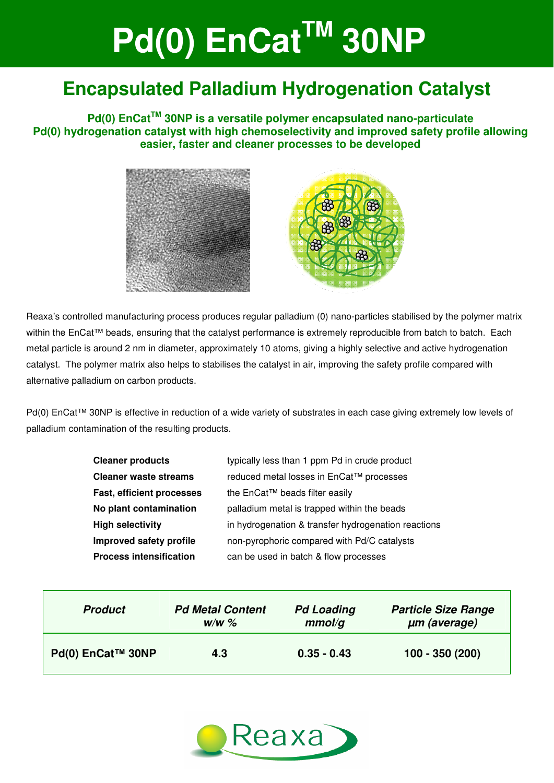# **Pd(0) EnCat™ 30NP Applications Pd(0) EnCatTM 30NP**

## **Encapsulated Palladium Hydrogenation Catalyst**

**Pd(0) EnCatTM 30NP is a versatile polymer encapsulated nano-particulate Pd(0) hydrogenation catalyst with high chemoselectivity and improved safety profile allowing easier, faster and cleaner processes to be developed** 



Reaxa's controlled manufacturing process produces regular palladium (0) nano-particles stabilised by the polymer matrix within the EnCat™ beads, ensuring that the catalyst performance is extremely reproducible from batch to batch. Each metal particle is around 2 nm in diameter, approximately 10 atoms, giving a highly selective and active hydrogenation catalyst. The polymer matrix also helps to stabilises the catalyst in air, improving the safety profile compared with alternative palladium on carbon products.

Pd(0) EnCat™ 30NP is effective in reduction of a wide variety of substrates in each case giving extremely low levels of palladium contamination of the resulting products.

| <b>Cleaner products</b>          | typically less than 1 ppm Pd in crude product       |
|----------------------------------|-----------------------------------------------------|
| <b>Cleaner waste streams</b>     | reduced metal losses in EnCat™ processes            |
| <b>Fast, efficient processes</b> | the EnCat™ beads filter easily                      |
| No plant contamination           | palladium metal is trapped within the beads         |
| <b>High selectivity</b>          | in hydrogenation & transfer hydrogenation reactions |
| Improved safety profile          | non-pyrophoric compared with Pd/C catalysts         |
| <b>Process intensification</b>   | can be used in batch & flow processes               |

| <b>Product</b>    | <b>Pd Metal Content</b> | <b>Pd Loading</b> | <b>Particle Size Range</b> |  |  |
|-------------------|-------------------------|-------------------|----------------------------|--|--|
|                   | $W/W$ %                 | mmol/q            | um (average)               |  |  |
| Pd(0) EnCat™ 30NP | 4.3                     | $0.35 - 0.43$     | 100 - 350 (200)            |  |  |